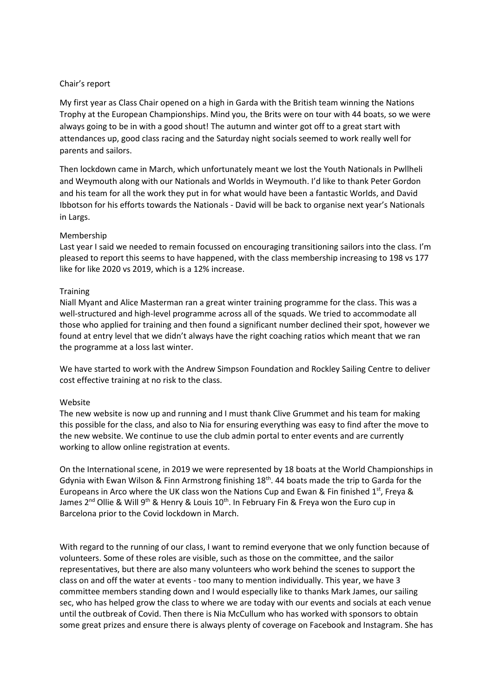## Chair's report

My first year as Class Chair opened on a high in Garda with the British team winning the Nations Trophy at the European Championships. Mind you, the Brits were on tour with 44 boats, so we were always going to be in with a good shout! The autumn and winter got off to a great start with attendances up, good class racing and the Saturday night socials seemed to work really well for parents and sailors.

Then lockdown came in March, which unfortunately meant we lost the Youth Nationals in Pwllheli and Weymouth along with our Nationals and Worlds in Weymouth. I'd like to thank Peter Gordon and his team for all the work they put in for what would have been a fantastic Worlds, and David Ibbotson for his efforts towards the Nationals - David will be back to organise next year's Nationals in Largs.

## Membership

Last year I said we needed to remain focussed on encouraging transitioning sailors into the class. I'm pleased to report this seems to have happened, with the class membership increasing to 198 vs 177 like for like 2020 vs 2019, which is a 12% increase.

## **Training**

Niall Myant and Alice Masterman ran a great winter training programme for the class. This was a well-structured and high-level programme across all of the squads. We tried to accommodate all those who applied for training and then found a significant number declined their spot, however we found at entry level that we didn't always have the right coaching ratios which meant that we ran the programme at a loss last winter.

We have started to work with the Andrew Simpson Foundation and Rockley Sailing Centre to deliver cost effective training at no risk to the class.

## Website

The new website is now up and running and I must thank Clive Grummet and his team for making this possible for the class, and also to Nia for ensuring everything was easy to find after the move to the new website. We continue to use the club admin portal to enter events and are currently working to allow online registration at events.

On the International scene, in 2019 we were represented by 18 boats at the World Championships in Gdynia with Ewan Wilson & Finn Armstrong finishing 18<sup>th</sup>. 44 boats made the trip to Garda for the Europeans in Arco where the UK class won the Nations Cup and Ewan & Fin finished  $1<sup>st</sup>$ , Freya & James 2<sup>nd</sup> Ollie & Will 9<sup>th</sup> & Henry & Louis 10<sup>th</sup>. In February Fin & Freya won the Euro cup in Barcelona prior to the Covid lockdown in March.

With regard to the running of our class, I want to remind everyone that we only function because of volunteers. Some of these roles are visible, such as those on the committee, and the sailor representatives, but there are also many volunteers who work behind the scenes to support the class on and off the water at events - too many to mention individually. This year, we have 3 committee members standing down and I would especially like to thanks Mark James, our sailing sec, who has helped grow the class to where we are today with our events and socials at each venue until the outbreak of Covid. Then there is Nia McCullum who has worked with sponsors to obtain some great prizes and ensure there is always plenty of coverage on Facebook and Instagram. She has